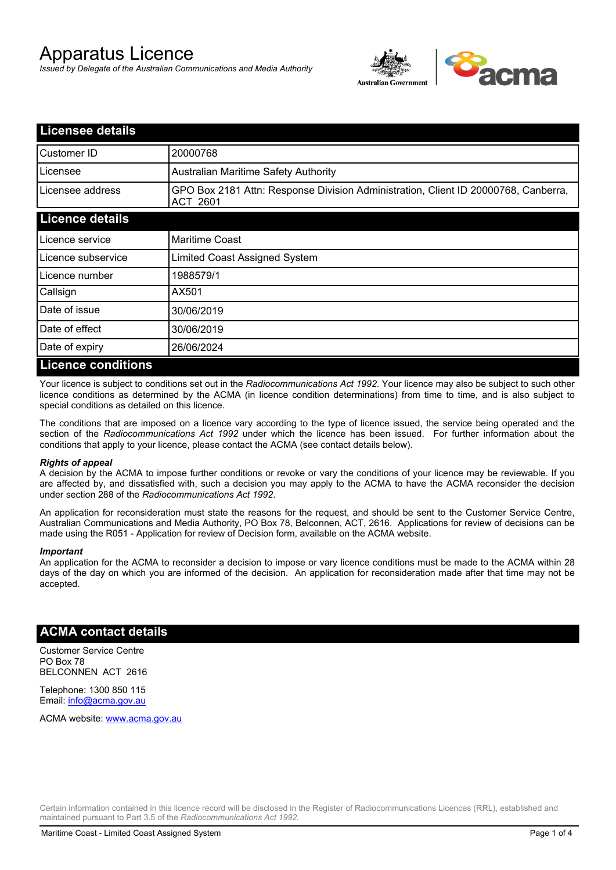# Apparatus Licence

*Issued by Delegate of the Australian Communications and Media Authority*



| <b>Licensee details</b>   |                                                                                                       |
|---------------------------|-------------------------------------------------------------------------------------------------------|
| Customer ID               | 20000768                                                                                              |
| Licensee                  | <b>Australian Maritime Safety Authority</b>                                                           |
| Licensee address          | GPO Box 2181 Attn: Response Division Administration, Client ID 20000768, Canberra,<br><b>ACT 2601</b> |
| <b>Licence details</b>    |                                                                                                       |
| Licence service           | <b>Maritime Coast</b>                                                                                 |
| Licence subservice        | Limited Coast Assigned System                                                                         |
| Licence number            | 1988579/1                                                                                             |
| Callsign                  | AX501                                                                                                 |
| Date of issue             | 30/06/2019                                                                                            |
| Date of effect            | 30/06/2019                                                                                            |
| Date of expiry            | 26/06/2024                                                                                            |
| <b>Licence conditions</b> |                                                                                                       |

Your licence is subject to conditions set out in the *Radiocommunications Act 1992*. Your licence may also be subject to such other licence conditions as determined by the ACMA (in licence condition determinations) from time to time, and is also subject to special conditions as detailed on this licence.

The conditions that are imposed on a licence vary according to the type of licence issued, the service being operated and the section of the *Radiocommunications Act 1992* under which the licence has been issued. For further information about the conditions that apply to your licence, please contact the ACMA (see contact details below).

#### *Rights of appeal*

A decision by the ACMA to impose further conditions or revoke or vary the conditions of your licence may be reviewable. If you are affected by, and dissatisfied with, such a decision you may apply to the ACMA to have the ACMA reconsider the decision under section 288 of the *Radiocommunications Act 1992*.

An application for reconsideration must state the reasons for the request, and should be sent to the Customer Service Centre, Australian Communications and Media Authority, PO Box 78, Belconnen, ACT, 2616. Applications for review of decisions can be made using the R051 - Application for review of Decision form, available on the ACMA website.

#### *Important*

An application for the ACMA to reconsider a decision to impose or vary licence conditions must be made to the ACMA within 28 days of the day on which you are informed of the decision. An application for reconsideration made after that time may not be accepted.

#### **ACMA contact details**

Customer Service Centre PO Box 78 BELCONNEN ACT 2616

Telephone: 1300 850 115 Email: info@acma.gov.au

ACMA website: www.acma.gov.au

Certain information contained in this licence record will be disclosed in the Register of Radiocommunications Licences (RRL), established and maintained pursuant to Part 3.5 of the *Radiocommunications Act 1992.*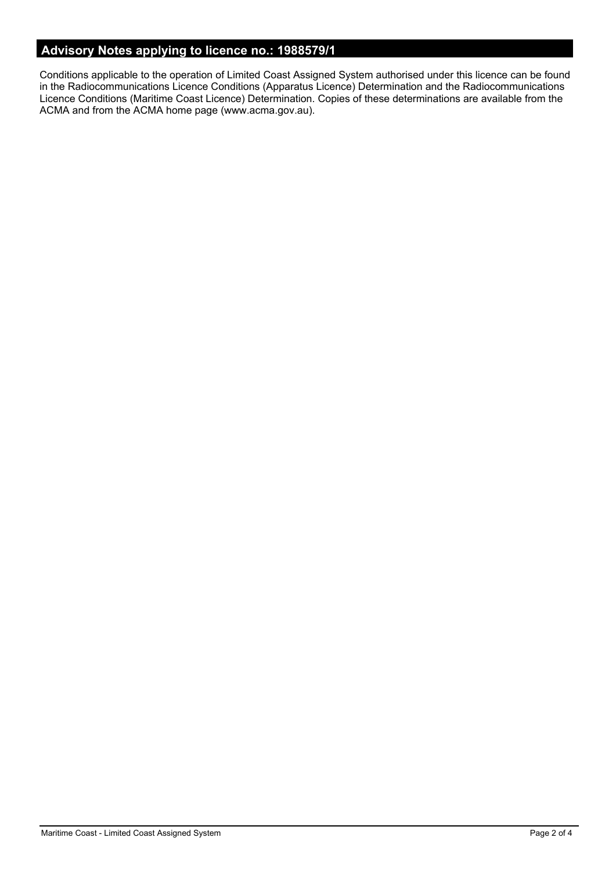## **Advisory Notes applying to licence no.: 1988579/1**

Conditions applicable to the operation of Limited Coast Assigned System authorised under this licence can be found in the Radiocommunications Licence Conditions (Apparatus Licence) Determination and the Radiocommunications Licence Conditions (Maritime Coast Licence) Determination. Copies of these determinations are available from the ACMA and from the ACMA home page (www.acma.gov.au).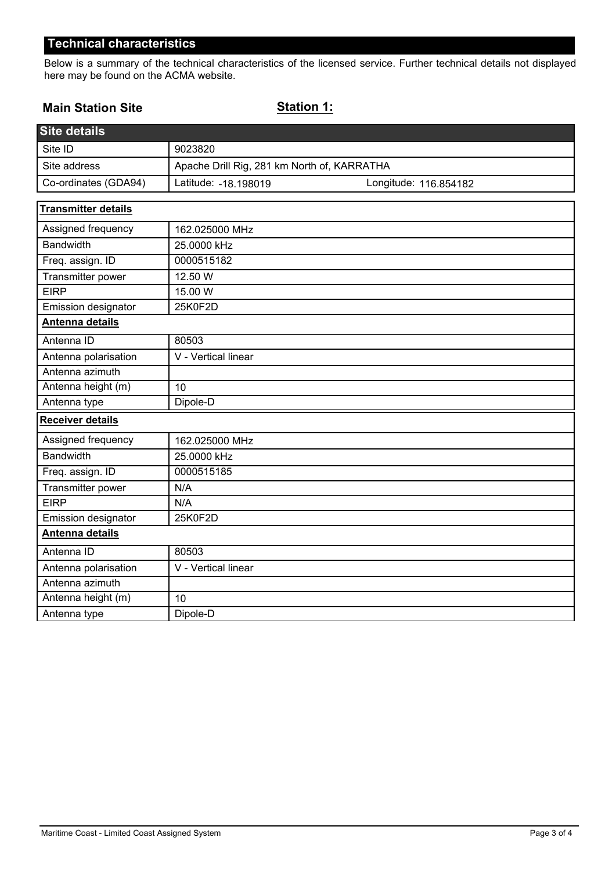## **Technical characteristics**

Below is a summary of the technical characteristics of the licensed service. Further technical details not displayed here may be found on the ACMA website.

#### **Main Station Site**

#### **Station 1:**

| Site details               |                                                |  |
|----------------------------|------------------------------------------------|--|
| Site ID                    | 9023820                                        |  |
| Site address               | Apache Drill Rig, 281 km North of, KARRATHA    |  |
| Co-ordinates (GDA94)       | Latitude: - 18.198019<br>Longitude: 116.854182 |  |
| <b>Transmitter details</b> |                                                |  |
| Assigned frequency         | 162.025000 MHz                                 |  |
| <b>Bandwidth</b>           | 25.0000 kHz                                    |  |
| Freq. assign. ID           | 0000515182                                     |  |
| Transmitter power          | 12.50 W                                        |  |
| <b>EIRP</b>                | 15.00 W                                        |  |
| Emission designator        | 25K0F2D                                        |  |
| <b>Antenna details</b>     |                                                |  |
| Antenna ID                 | 80503                                          |  |
| Antenna polarisation       | V - Vertical linear                            |  |
| Antenna azimuth            |                                                |  |
| Antenna height (m)         | 10                                             |  |
| Antenna type               | Dipole-D                                       |  |
| <b>Receiver details</b>    |                                                |  |
| Assigned frequency         | 162.025000 MHz                                 |  |
| <b>Bandwidth</b>           | 25.0000 kHz                                    |  |
| Freq. assign. ID           | 0000515185                                     |  |
| Transmitter power          | N/A                                            |  |
| <b>EIRP</b>                | N/A                                            |  |
| Emission designator        | 25K0F2D                                        |  |
| Antenna details            |                                                |  |
| Antenna ID                 | 80503                                          |  |
| Antenna polarisation       | V - Vertical linear                            |  |
| Antenna azimuth            |                                                |  |
| Antenna height (m)         | 10                                             |  |
| Antenna type               | Dipole-D                                       |  |